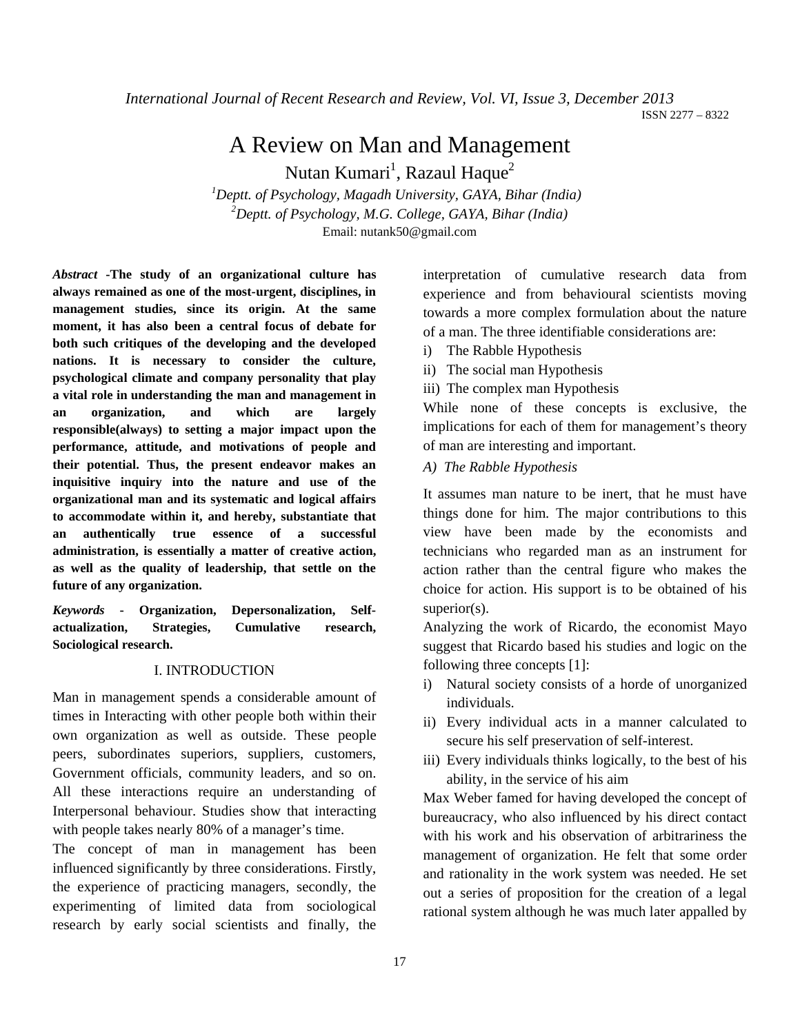*International Journal of Recent Research and Review, Vol. VI, Issue 3, December 2013* ISSN 2277 – 8322

# A Review on Man and Management

Nutan Kumari $^1$ , Razaul Haque $^2$ 

*1 Deptt. of Psychology, Magadh University, GAYA, Bihar (India) 2 Deptt. of Psychology, M.G. College, GAYA, Bihar (India)* Email: nutank50@gmail.com

*Abstract* **-The study of an organizational culture has always remained as one of the most-urgent, disciplines, in management studies, since its origin. At the same moment, it has also been a central focus of debate for both such critiques of the developing and the developed nations. It is necessary to consider the culture, psychological climate and company personality that play a vital role in understanding the man and management in an organization, and which are largely responsible(always) to setting a major impact upon the performance, attitude, and motivations of people and their potential. Thus, the present endeavor makes an inquisitive inquiry into the nature and use of the organizational man and its systematic and logical affairs to accommodate within it, and hereby, substantiate that an authentically true essence of a successful administration, is essentially a matter of creative action, as well as the quality of leadership, that settle on the future of any organization.**

*Keywords* **- Organization, Depersonalization, Selfactualization, Strategies, Cumulative research, Sociological research.**

#### I. INTRODUCTION

Man in management spends a considerable amount of times in Interacting with other people both within their own organization as well as outside. These people peers, subordinates superiors, suppliers, customers, Government officials, community leaders, and so on. All these interactions require an understanding of Interpersonal behaviour. Studies show that interacting with people takes nearly 80% of a manager's time.

The concept of man in management has been influenced significantly by three considerations. Firstly, the experience of practicing managers, secondly, the experimenting of limited data from sociological research by early social scientists and finally, the

interpretation of cumulative research data from experience and from behavioural scientists moving towards a more complex formulation about the nature of a man. The three identifiable considerations are:

- i) The Rabble Hypothesis
- ii) The social man Hypothesis
- iii) The complex man Hypothesis

While none of these concepts is exclusive, the implications for each of them for management's theory of man are interesting and important.

*A) The Rabble Hypothesis*

It assumes man nature to be inert, that he must have things done for him. The major contributions to this view have been made by the economists and technicians who regarded man as an instrument for action rather than the central figure who makes the choice for action. His support is to be obtained of his superior(s).

Analyzing the work of Ricardo, the economist Mayo suggest that Ricardo based his studies and logic on the following three concepts [1]:

- i) Natural society consists of a horde of unorganized individuals.
- ii) Every individual acts in a manner calculated to secure his self preservation of self-interest.
- iii) Every individuals thinks logically, to the best of his ability, in the service of his aim

Max Weber famed for having developed the concept of bureaucracy, who also influenced by his direct contact with his work and his observation of arbitrariness the management of organization. He felt that some order and rationality in the work system was needed. He set out a series of proposition for the creation of a legal rational system although he was much later appalled by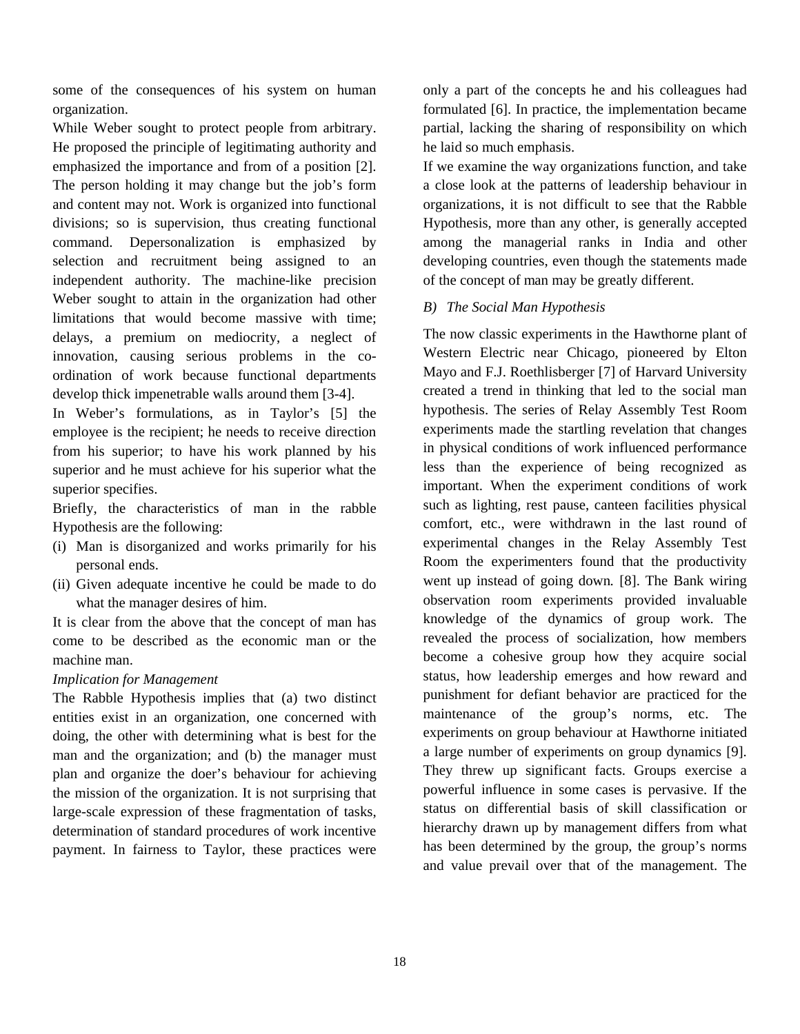some of the consequences of his system on human organization.

While Weber sought to protect people from arbitrary. He proposed the principle of legitimating authority and emphasized the importance and from of a position [2]. The person holding it may change but the job's form and content may not. Work is organized into functional divisions; so is supervision, thus creating functional command. Depersonalization is emphasized by selection and recruitment being assigned to an independent authority. The machine-like precision Weber sought to attain in the organization had other limitations that would become massive with time; delays, a premium on mediocrity, a neglect of innovation, causing serious problems in the coordination of work because functional departments develop thick impenetrable walls around them [3-4].

In Weber's formulations, as in Taylor's [5] the employee is the recipient; he needs to receive direction from his superior; to have his work planned by his superior and he must achieve for his superior what the superior specifies.

Briefly, the characteristics of man in the rabble Hypothesis are the following:

- (i) Man is disorganized and works primarily for his personal ends.
- (ii) Given adequate incentive he could be made to do what the manager desires of him.

It is clear from the above that the concept of man has come to be described as the economic man or the machine man.

### *Implication for Management*

The Rabble Hypothesis implies that (a) two distinct entities exist in an organization, one concerned with doing, the other with determining what is best for the man and the organization; and (b) the manager must plan and organize the doer's behaviour for achieving the mission of the organization. It is not surprising that large-scale expression of these fragmentation of tasks, determination of standard procedures of work incentive payment. In fairness to Taylor, these practices were

only a part of the concepts he and his colleagues had formulated [6]. In practice, the implementation became partial, lacking the sharing of responsibility on which he laid so much emphasis.

If we examine the way organizations function, and take a close look at the patterns of leadership behaviour in organizations, it is not difficult to see that the Rabble Hypothesis, more than any other, is generally accepted among the managerial ranks in India and other developing countries, even though the statements made of the concept of man may be greatly different.

### *B) The Social Man Hypothesis*

The now classic experiments in the Hawthorne plant of Western Electric near Chicago, pioneered by Elton Mayo and F.J. Roethlisberger [7] of Harvard University created a trend in thinking that led to the social man hypothesis. The series of Relay Assembly Test Room experiments made the startling revelation that changes in physical conditions of work influenced performance less than the experience of being recognized as important. When the experiment conditions of work such as lighting, rest pause, canteen facilities physical comfort, etc., were withdrawn in the last round of experimental changes in the Relay Assembly Test Room the experimenters found that the productivity went up instead of going down*.* [8]. The Bank wiring observation room experiments provided invaluable knowledge of the dynamics of group work. The revealed the process of socialization, how members become a cohesive group how they acquire social status, how leadership emerges and how reward and punishment for defiant behavior are practiced for the maintenance of the group's norms, etc. The experiments on group behaviour at Hawthorne initiated a large number of experiments on group dynamics [9]. They threw up significant facts. Groups exercise a powerful influence in some cases is pervasive. If the status on differential basis of skill classification or hierarchy drawn up by management differs from what has been determined by the group, the group's norms and value prevail over that of the management. The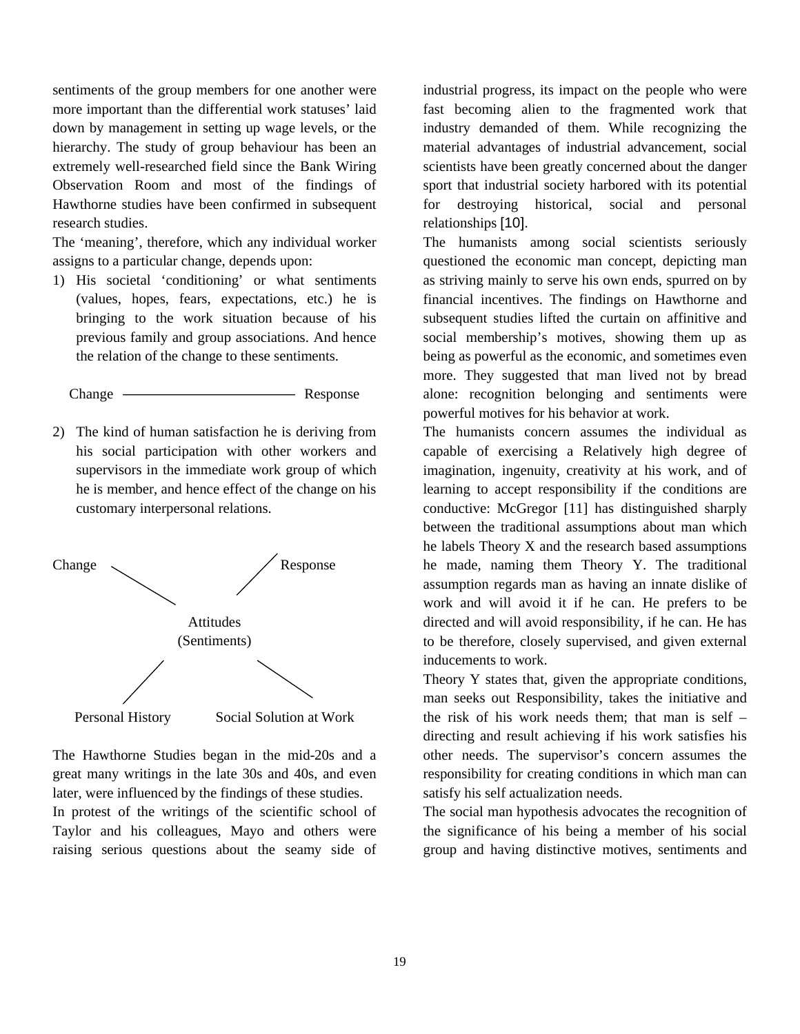sentiments of the group members for one another were more important than the differential work statuses' laid down by management in setting up wage levels, or the hierarchy. The study of group behaviour has been an extremely well-researched field since the Bank Wiring Observation Room and most of the findings of Hawthorne studies have been confirmed in subsequent research studies.

The 'meaning', therefore, which any individual worker assigns to a particular change, depends upon:

1) His societal 'conditioning' or what sentiments (values, hopes, fears, expectations, etc.) he is bringing to the work situation because of his previous family and group associations. And hence the relation of the change to these sentiments.

Change Response

2) The kind of human satisfaction he is deriving from his social participation with other workers and supervisors in the immediate work group of which he is member, and hence effect of the change on his customary interpersonal relations.



The Hawthorne Studies began in the mid-20s and a great many writings in the late 30s and 40s, and even later, were influenced by the findings of these studies. In protest of the writings of the scientific school of Taylor and his colleagues, Mayo and others were raising serious questions about the seamy side of industrial progress, its impact on the people who were fast becoming alien to the fragmented work that industry demanded of them. While recognizing the material advantages of industrial advancement, social scientists have been greatly concerned about the danger sport that industrial society harbored with its potential for destroying historical, social and personal relationships [10].

The humanists among social scientists seriously questioned the economic man concept, depicting man as striving mainly to serve his own ends, spurred on by financial incentives. The findings on Hawthorne and subsequent studies lifted the curtain on affinitive and social membership's motives, showing them up as being as powerful as the economic, and sometimes even more. They suggested that man lived not by bread alone: recognition belonging and sentiments were powerful motives for his behavior at work.

The humanists concern assumes the individual as capable of exercising a Relatively high degree of imagination, ingenuity, creativity at his work, and of learning to accept responsibility if the conditions are conductive: McGregor [11] has distinguished sharply between the traditional assumptions about man which he labels Theory X and the research based assumptions he made, naming them Theory Y. The traditional assumption regards man as having an innate dislike of work and will avoid it if he can. He prefers to be directed and will avoid responsibility, if he can. He has to be therefore, closely supervised, and given external inducements to work.

Theory Y states that, given the appropriate conditions, man seeks out Responsibility, takes the initiative and the risk of his work needs them; that man is self – directing and result achieving if his work satisfies his other needs. The supervisor's concern assumes the responsibility for creating conditions in which man can satisfy his self actualization needs.

The social man hypothesis advocates the recognition of the significance of his being a member of his social group and having distinctive motives, sentiments and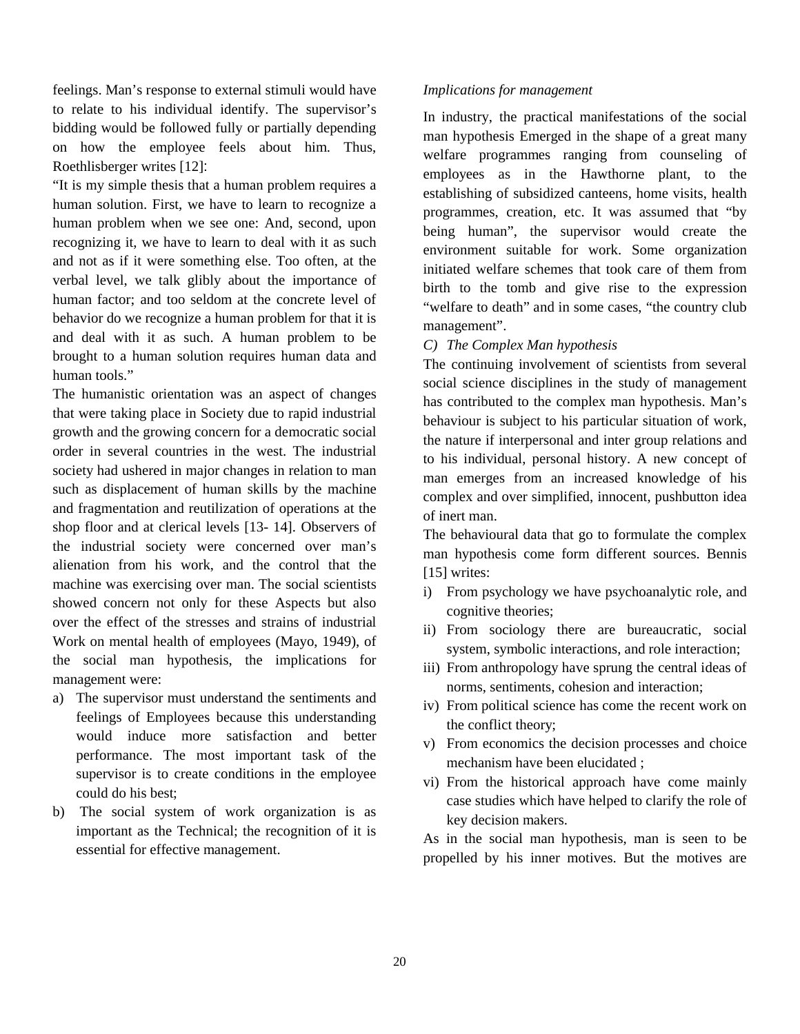feelings. Man's response to external stimuli would have to relate to his individual identify. The supervisor's bidding would be followed fully or partially depending on how the employee feels about him. Thus, Roethlisberger writes [12]:

"It is my simple thesis that a human problem requires a human solution. First, we have to learn to recognize a human problem when we see one: And, second, upon recognizing it, we have to learn to deal with it as such and not as if it were something else. Too often, at the verbal level, we talk glibly about the importance of human factor; and too seldom at the concrete level of behavior do we recognize a human problem for that it is and deal with it as such. A human problem to be brought to a human solution requires human data and human tools."

The humanistic orientation was an aspect of changes that were taking place in Society due to rapid industrial growth and the growing concern for a democratic social order in several countries in the west. The industrial society had ushered in major changes in relation to man such as displacement of human skills by the machine and fragmentation and reutilization of operations at the shop floor and at clerical levels [13- 14]. Observers of the industrial society were concerned over man's alienation from his work, and the control that the machine was exercising over man. The social scientists showed concern not only for these Aspects but also over the effect of the stresses and strains of industrial Work on mental health of employees (Mayo, 1949), of the social man hypothesis, the implications for management were:

- a) The supervisor must understand the sentiments and feelings of Employees because this understanding would induce more satisfaction and better performance. The most important task of the supervisor is to create conditions in the employee could do his best;
- b) The social system of work organization is as important as the Technical; the recognition of it is essential for effective management.

### *Implications for management*

In industry, the practical manifestations of the social man hypothesis Emerged in the shape of a great many welfare programmes ranging from counseling of employees as in the Hawthorne plant, to the establishing of subsidized canteens, home visits, health programmes, creation, etc. It was assumed that "by being human", the supervisor would create the environment suitable for work. Some organization initiated welfare schemes that took care of them from birth to the tomb and give rise to the expression "welfare to death" and in some cases, "the country club management".

### *C) The Complex Man hypothesis*

The continuing involvement of scientists from several social science disciplines in the study of management has contributed to the complex man hypothesis. Man's behaviour is subject to his particular situation of work, the nature if interpersonal and inter group relations and to his individual, personal history. A new concept of man emerges from an increased knowledge of his complex and over simplified, innocent, pushbutton idea of inert man.

The behavioural data that go to formulate the complex man hypothesis come form different sources. Bennis [15] writes:

- i) From psychology we have psychoanalytic role, and cognitive theories;
- ii) From sociology there are bureaucratic, social system, symbolic interactions, and role interaction;
- iii) From anthropology have sprung the central ideas of norms, sentiments, cohesion and interaction;
- iv) From political science has come the recent work on the conflict theory;
- v) From economics the decision processes and choice mechanism have been elucidated ;
- vi) From the historical approach have come mainly case studies which have helped to clarify the role of key decision makers.

As in the social man hypothesis, man is seen to be propelled by his inner motives. But the motives are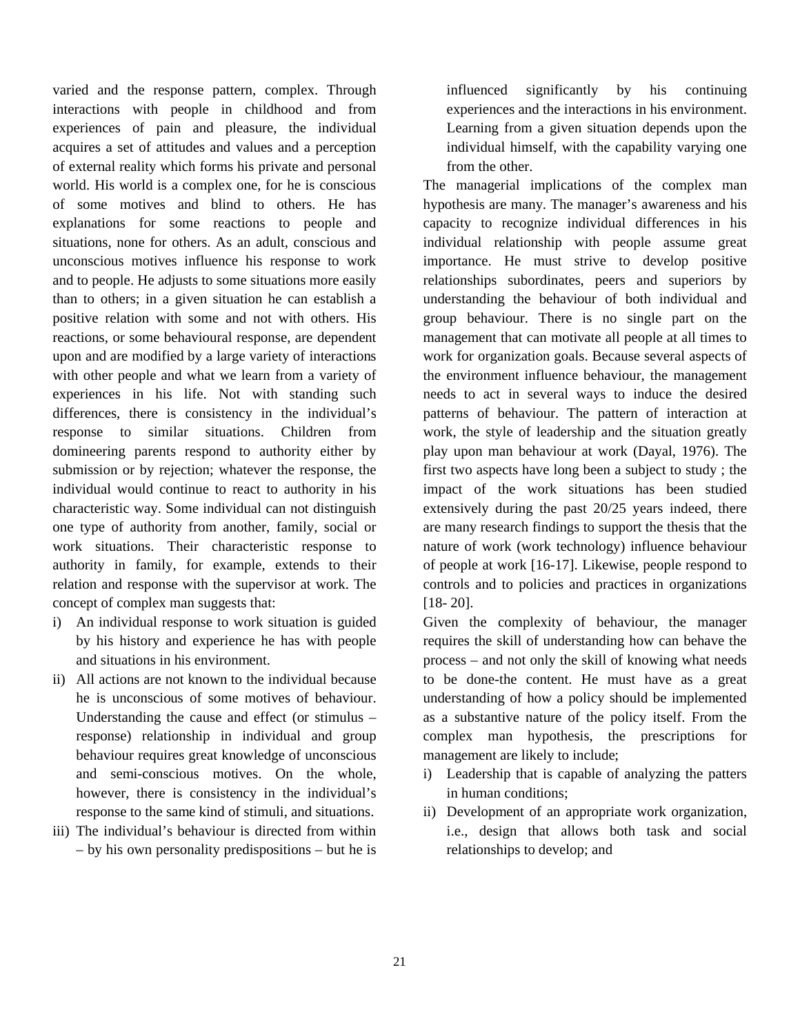varied and the response pattern, complex. Through interactions with people in childhood and from experiences of pain and pleasure, the individual acquires a set of attitudes and values and a perception of external reality which forms his private and personal world. His world is a complex one, for he is conscious of some motives and blind to others. He has explanations for some reactions to people and situations, none for others. As an adult, conscious and unconscious motives influence his response to work and to people. He adjusts to some situations more easily than to others; in a given situation he can establish a positive relation with some and not with others. His reactions, or some behavioural response, are dependent upon and are modified by a large variety of interactions with other people and what we learn from a variety of experiences in his life. Not with standing such differences, there is consistency in the individual's response to similar situations. Children from domineering parents respond to authority either by submission or by rejection; whatever the response, the individual would continue to react to authority in his characteristic way. Some individual can not distinguish one type of authority from another, family, social or work situations. Their characteristic response to authority in family, for example, extends to their relation and response with the supervisor at work. The concept of complex man suggests that:

- i) An individual response to work situation is guided by his history and experience he has with people and situations in his environment.
- ii) All actions are not known to the individual because he is unconscious of some motives of behaviour. Understanding the cause and effect (or stimulus – response) relationship in individual and group behaviour requires great knowledge of unconscious and semi-conscious motives. On the whole, however, there is consistency in the individual's response to the same kind of stimuli, and situations.
- iii) The individual's behaviour is directed from within – by his own personality predispositions – but he is

influenced significantly by his continuing experiences and the interactions in his environment. Learning from a given situation depends upon the individual himself, with the capability varying one from the other.

The managerial implications of the complex man hypothesis are many. The manager's awareness and his capacity to recognize individual differences in his individual relationship with people assume great importance. He must strive to develop positive relationships subordinates, peers and superiors by understanding the behaviour of both individual and group behaviour. There is no single part on the management that can motivate all people at all times to work for organization goals. Because several aspects of the environment influence behaviour, the management needs to act in several ways to induce the desired patterns of behaviour. The pattern of interaction at work, the style of leadership and the situation greatly play upon man behaviour at work (Dayal, 1976). The first two aspects have long been a subject to study ; the impact of the work situations has been studied extensively during the past 20/25 years indeed, there are many research findings to support the thesis that the nature of work (work technology) influence behaviour of people at work [16-17]. Likewise, people respond to controls and to policies and practices in organizations [18- 20].

Given the complexity of behaviour, the manager requires the skill of understanding how can behave the process – and not only the skill of knowing what needs to be done-the content. He must have as a great understanding of how a policy should be implemented as a substantive nature of the policy itself. From the complex man hypothesis, the prescriptions for management are likely to include;

- i) Leadership that is capable of analyzing the patters in human conditions;
- ii) Development of an appropriate work organization, i.e., design that allows both task and social relationships to develop; and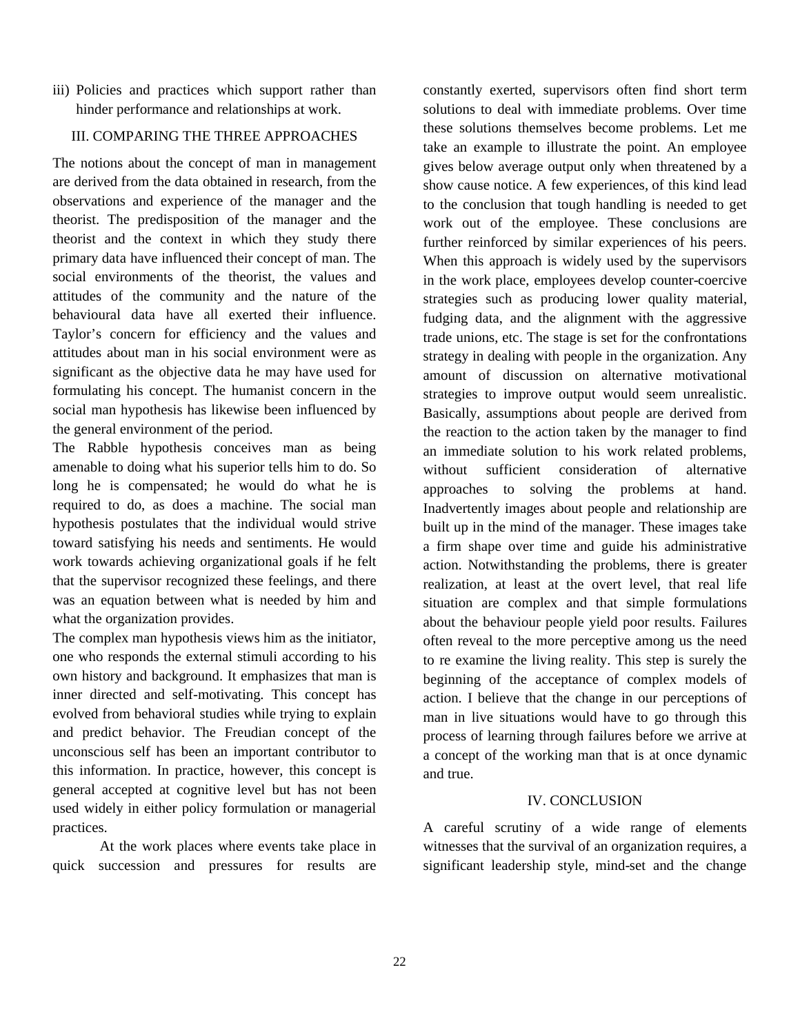iii) Policies and practices which support rather than hinder performance and relationships at work.

## III. COMPARING THE THREE APPROACHES

The notions about the concept of man in management are derived from the data obtained in research, from the observations and experience of the manager and the theorist. The predisposition of the manager and the theorist and the context in which they study there primary data have influenced their concept of man. The social environments of the theorist, the values and attitudes of the community and the nature of the behavioural data have all exerted their influence. Taylor's concern for efficiency and the values and attitudes about man in his social environment were as significant as the objective data he may have used for formulating his concept. The humanist concern in the social man hypothesis has likewise been influenced by the general environment of the period.

The Rabble hypothesis conceives man as being amenable to doing what his superior tells him to do. So long he is compensated; he would do what he is required to do, as does a machine. The social man hypothesis postulates that the individual would strive toward satisfying his needs and sentiments. He would work towards achieving organizational goals if he felt that the supervisor recognized these feelings, and there was an equation between what is needed by him and what the organization provides.

The complex man hypothesis views him as the initiator, one who responds the external stimuli according to his own history and background. It emphasizes that man is inner directed and self-motivating. This concept has evolved from behavioral studies while trying to explain and predict behavior. The Freudian concept of the unconscious self has been an important contributor to this information. In practice, however, this concept is general accepted at cognitive level but has not been used widely in either policy formulation or managerial practices.

At the work places where events take place in quick succession and pressures for results are

constantly exerted, supervisors often find short term solutions to deal with immediate problems. Over time these solutions themselves become problems. Let me take an example to illustrate the point. An employee gives below average output only when threatened by a show cause notice. A few experiences, of this kind lead to the conclusion that tough handling is needed to get work out of the employee. These conclusions are further reinforced by similar experiences of his peers. When this approach is widely used by the supervisors in the work place, employees develop counter-coercive strategies such as producing lower quality material, fudging data, and the alignment with the aggressive trade unions, etc. The stage is set for the confrontations strategy in dealing with people in the organization. Any amount of discussion on alternative motivational strategies to improve output would seem unrealistic. Basically, assumptions about people are derived from the reaction to the action taken by the manager to find an immediate solution to his work related problems, without sufficient consideration of alternative approaches to solving the problems at hand. Inadvertently images about people and relationship are built up in the mind of the manager. These images take a firm shape over time and guide his administrative action. Notwithstanding the problems, there is greater realization, at least at the overt level, that real life situation are complex and that simple formulations about the behaviour people yield poor results. Failures often reveal to the more perceptive among us the need to re examine the living reality. This step is surely the beginning of the acceptance of complex models of action. I believe that the change in our perceptions of man in live situations would have to go through this process of learning through failures before we arrive at a concept of the working man that is at once dynamic and true.

### IV. CONCLUSION

A careful scrutiny of a wide range of elements witnesses that the survival of an organization requires, a significant leadership style, mind-set and the change